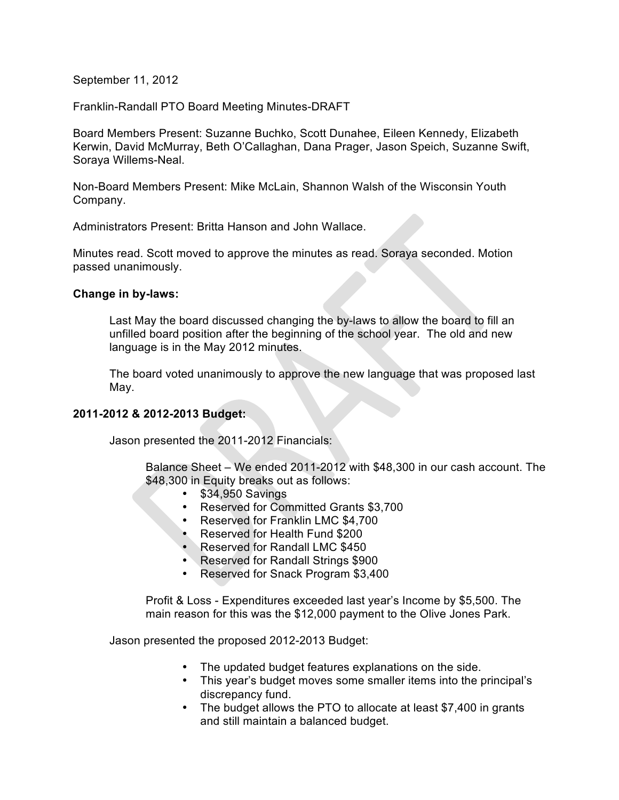September 11, 2012

Franklin-Randall PTO Board Meeting Minutes-DRAFT

Board Members Present: Suzanne Buchko, Scott Dunahee, Eileen Kennedy, Elizabeth Kerwin, David McMurray, Beth O'Callaghan, Dana Prager, Jason Speich, Suzanne Swift, Soraya Willems-Neal.

Non-Board Members Present: Mike McLain, Shannon Walsh of the Wisconsin Youth Company.

Administrators Present: Britta Hanson and John Wallace.

Minutes read. Scott moved to approve the minutes as read. Soraya seconded. Motion passed unanimously.

### **Change in by-laws:**

Last May the board discussed changing the by-laws to allow the board to fill an unfilled board position after the beginning of the school year. The old and new language is in the May 2012 minutes.

The board voted unanimously to approve the new language that was proposed last May.

### **2011-2012 & 2012-2013 Budget:**

Jason presented the 2011-2012 Financials:

Balance Sheet – We ended 2011-2012 with \$48,300 in our cash account. The \$48,300 in Equity breaks out as follows:

- \$34,950 Savings
- Reserved for Committed Grants \$3,700
- Reserved for Franklin LMC \$4,700
- Reserved for Health Fund \$200
- Reserved for Randall LMC \$450
- Reserved for Randall Strings \$900
- Reserved for Snack Program \$3,400

Profit & Loss - Expenditures exceeded last year's Income by \$5,500. The main reason for this was the \$12,000 payment to the Olive Jones Park.

Jason presented the proposed 2012-2013 Budget:

- The updated budget features explanations on the side.
- This year's budget moves some smaller items into the principal's discrepancy fund.
- The budget allows the PTO to allocate at least \$7,400 in grants and still maintain a balanced budget.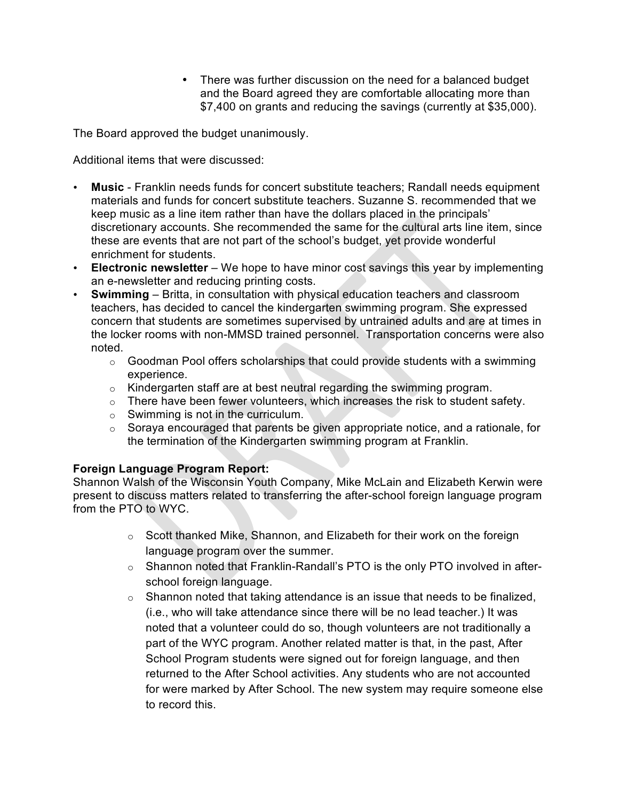• There was further discussion on the need for a balanced budget and the Board agreed they are comfortable allocating more than \$7,400 on grants and reducing the savings (currently at \$35,000).

The Board approved the budget unanimously.

Additional items that were discussed:

- **Music**  Franklin needs funds for concert substitute teachers; Randall needs equipment materials and funds for concert substitute teachers. Suzanne S. recommended that we keep music as a line item rather than have the dollars placed in the principals' discretionary accounts. She recommended the same for the cultural arts line item, since these are events that are not part of the school's budget, yet provide wonderful enrichment for students.
- **Electronic newsletter** We hope to have minor cost savings this year by implementing an e-newsletter and reducing printing costs.
- **Swimming** Britta, in consultation with physical education teachers and classroom teachers, has decided to cancel the kindergarten swimming program. She expressed concern that students are sometimes supervised by untrained adults and are at times in the locker rooms with non-MMSD trained personnel. Transportation concerns were also noted.
	- o Goodman Pool offers scholarships that could provide students with a swimming experience.
	- o Kindergarten staff are at best neutral regarding the swimming program.
	- o There have been fewer volunteers, which increases the risk to student safety.
	- $\circ$  Swimming is not in the curriculum.
	- o Soraya encouraged that parents be given appropriate notice, and a rationale, for the termination of the Kindergarten swimming program at Franklin.

# **Foreign Language Program Report:**

Shannon Walsh of the Wisconsin Youth Company, Mike McLain and Elizabeth Kerwin were present to discuss matters related to transferring the after-school foreign language program from the PTO to WYC.

- $\circ$  Scott thanked Mike, Shannon, and Elizabeth for their work on the foreign language program over the summer.
- o Shannon noted that Franklin-Randall's PTO is the only PTO involved in afterschool foreign language.
- $\circ$  Shannon noted that taking attendance is an issue that needs to be finalized, (i.e., who will take attendance since there will be no lead teacher.) It was noted that a volunteer could do so, though volunteers are not traditionally a part of the WYC program. Another related matter is that, in the past, After School Program students were signed out for foreign language, and then returned to the After School activities. Any students who are not accounted for were marked by After School. The new system may require someone else to record this.